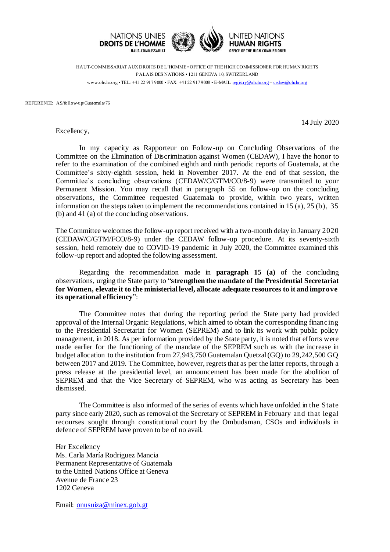

HAUT-COMMISSARIAT AUX DROITS DE L'HOMME • OFFICE OF THE HIGH COMMISSIONER FOR HUMAN RIGHTS PALAIS DES NATIONS • 1211 GENEVA 10, SWITZERLAND www.ohchr.org • TEL: +41 22 917 9000 • FAX: +41 22 917 9008 • E-MAIL: [registry@ohchr.org](mailto:registry@ohchr.org) – [cedaw@ohchr.org](mailto:cedaw@ohchr.org)

REFERENCE: AS/follow-up/Guatemala/76

14 July 2020

Excellency,

In my capacity as Rapporteur on Follow-up on Concluding Observations of the Committee on the Elimination of Discrimination against Women (CEDAW), I have the honor to refer to the examination of the combined eighth and ninth periodic reports of Guatemala, at the Committee's sixty-eighth session, held in November 2017. At the end of that session, the Committee's concluding observations (CEDAW/C/GTM/CO/8-9) were transmitted to your Permanent Mission. You may recall that in paragraph 55 on follow-up on the concluding observations, the Committee requested Guatemala to provide, within two years, written information on the steps taken to implement the recommendations contained in 15 (a), 25 (b), 35 (b) and 41 (a) of the concluding observations.

The Committee welcomes the follow-up report received with a two-month delay in January 2020 (CEDAW/C/GTM/FCO/8-9) under the CEDAW follow-up procedure. At its seventy-sixth session, held remotely due to COVID-19 pandemic in July 2020, the Committee examined this follow-up report and adopted the following assessment.

Regarding the recommendation made in **paragraph 15 (a)** of the concluding observations, urging the State party to "**strengthen the mandate of the Presidential Secretariat for Women, elevate it to the ministerial level, allocate adequate resources to it and improve its operational efficiency**":

The Committee notes that during the reporting period the State party had provided approval of the Internal Organic Regulations, which aimed to obtain the corresponding financ ing to the Presidential Secretariat for Women (SEPREM) and to link its work with public policy management, in 2018. As per information provided by the State party, it is noted that efforts were made earlier for the functioning of the mandate of the SEPREM such as with the increase in budget allocation to the institution from 27,943,750 Guatemalan Quetzal (GQ) to 29,242,500 GQ between 2017 and 2019. The Committee, however, regrets that as per the latter reports, through a press release at the presidential level, an announcement has been made for the abolition of SEPREM and that the Vice Secretary of SEPREM, who was acting as Secretary has been dismissed.

The Committee is also informed of the series of events which have unfolded in the State party since early 2020, such as removal of the Secretary of SEPREM in February and that legal recourses sought through constitutional court by the Ombudsman, CSOs and individuals in defence of SEPREM have proven to be of no avail.

Her Excellency Ms. Carla María Rodriguez Mancia Permanent Representative of Guatemala to the United Nations Office at Geneva Avenue de France 23 1202 Geneva

Email: [onusuiza@minex.gob.gt](mailto:onusuiza@minex.gob.gt)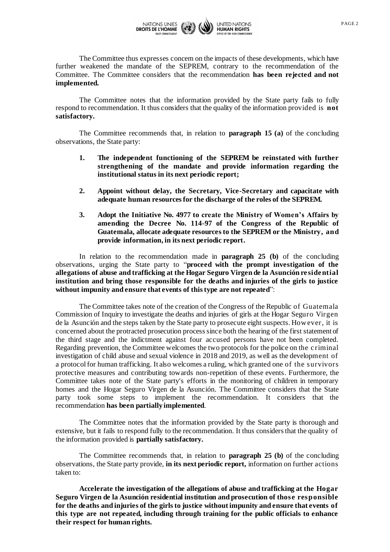

The Committee thus expresses concern on the impacts of these developments, which have further weakened the mandate of the SEPREM, contrary to the recommendation of the Committee. The Committee considers that the recommendation **has been rejected and not implemented.**

The Committee notes that the information provided by the State party fails to fully respond to recommendation. It thus considers that the quality of the information provided is **not satisfactory.**

The Committee recommends that, in relation to **paragraph 15 (a)** of the concluding observations, the State party:

- **1. The independent functioning of the SEPREM be reinstated with further strengthening of the mandate and provide information regarding the institutional status in its next periodic report;**
- **2. Appoint without delay, the Secretary, Vice-Secretary and capacitate with adequate human resources for the discharge of the roles of the SEPREM.**
- **3. Adopt the Initiative No. 4977 to create the Ministry of Women's Affairs by amending the Decree No. 114-97 of the Congress of the Republic of Guatemala, allocate adequate resources to the SEPREM or the Ministry, and provide information, in its next periodic report.**

In relation to the recommendation made in **paragraph 25 (b)** of the concluding observations, urging the State party to "**proceed with the prompt investigation of the allegations of abuse and trafficking at the Hogar Seguro Virgen de la Asunción re side ntial institution and bring those responsible for the deaths and injuries of the girls to justice without impunity and ensure that events of this type are not repeated**":

The Committee takes note of the creation of the Congress of the Republic of Guatemala Commission of Inquiry to investigate the deaths and injuries of girls at the Hogar Seguro Virgen de la Asunción and the steps taken by the State party to prosecute eight suspects. How ever, it is concerned about the protracted prosecution process since both the hearing of the first statement of the third stage and the indictment against four accused persons have not been completed. Regarding prevention, the Committee welcomes the two protocols for the police on the criminal investigation of child abuse and sexual violence in 2018 and 2019, as well as the development of a protocol for human trafficking. It also welcomes a ruling, which granted one of the survivors protective measures and contributing towards non-repetition of these events. Furthermore, the Committee takes note of the State party's efforts in the monitoring of children in temporary homes and the Hogar Seguro Virgen de la Asunción. The Committee considers that the State party took some steps to implement the recommendation. It considers that the recommendation **has been partially implemented**.

The Committee notes that the information provided by the State party is thorough and extensive, but it fails to respond fully to the recommendation. It thus considers that the quality of the information provided is **partially satisfactory.**

The Committee recommends that, in relation to **paragraph 25 (b)** of the concluding observations, the State party provide, **in its next periodic report,** information on further actions taken to:

**Accelerate the investigation of the allegations of abuse and trafficking at the Hogar Seguro Virgen de la Asunción residential institution and prosecution of those responsible for the deaths and injuries of the girls to justice without impunity and ensure that events of this type are not repeated, including through training for the public officials to enhance their respect for human rights.**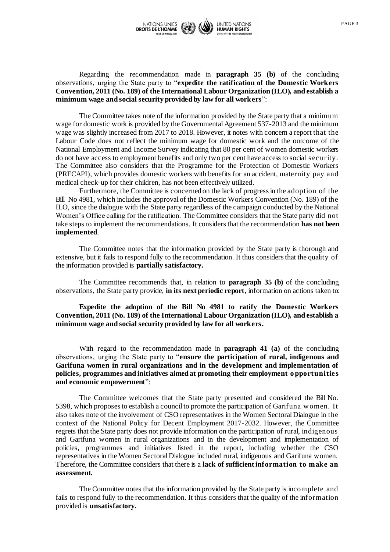

Regarding the recommendation made in **paragraph 35 (b)** of the concluding observations, urging the State party to "**expedite the ratification of the Domestic Workers Convention, 2011 (No. 189) of the International Labour Organization (ILO), and establish a minimum wage and social security provided by law for all workers**":

The Committee takes note of the information provided by the State party that a minimum wage for domestic work is provided by the Governmental Agreement 537-2013 and the minimum wage was slightly increased from 2017 to 2018. However, it notes with concern a report that the Labour Code does not reflect the minimum wage for domestic work and the outcome of the National Employment and Income Survey indicating that 80 per cent of women domestic workers do not have access to employment benefits and only two per cent have access to social sec urity. The Committee also considers that the Programme for the Protection of Domestic Workers (PRECAPI), which provides domestic workers with benefits for an accident, maternity pay and medical check-up for their children, has not been effectively utilized.

Furthermore, the Committee is concerned on the lack of progress in the adoption of the Bill No 4981, which includes the approval of the Domestic Workers Convention (No. 189) of the ILO, since the dialogue with the State party regardless of the campaign conducted by the National Women's Office calling for the ratification. The Committee considers that the State party did not take steps to implement the recommendations. It considers that the recommendation **has not been implemented**.

The Committee notes that the information provided by the State party is thorough and extensive, but it fails to respond fully to the recommendation. It thus considers that the quality of the information provided is **partially satisfactory.**

The Committee recommends that, in relation to **paragraph 35 (b)** of the concluding observations, the State party provide, **in its next periodic report**, information on actions taken to:

**Expedite the adoption of the Bill No 4981 to ratify the Domestic Workers Convention, 2011 (No. 189) of the International Labour Organization (ILO), and establish a minimum wage and social security provided by law for all workers.**

With regard to the recommendation made in **paragraph 41 (a)** of the concluding observations, urging the State party to "**ensure the participation of rural, indigenous and Garifuna women in rural organizations and in the development and implementation of**  policies, programmes and initiatives aimed at promoting their employment opportunities **and economic empowerment**":

The Committee welcomes that the State party presented and considered the Bill No. 5398, which proposes to establish a council to promote the participation of Garifuna w omen. It also takes note of the involvement of CSO representatives in the Women Sectoral Dialogue in the context of the National Policy for Decent Employment 2017-2032. However, the Committee regrets that the State party does not provide information on the participation of rural, indigenous and Garifuna women in rural organizations and in the development and implementation of policies, programmes and initiatives listed in the report, including whether the CSO representatives in the Women Sectoral Dialogue included rural, indigenous and Garifuna women. Therefore, the Committee considers that there is a **lack of sufficient information to make an assessment.**

The Committee notes that the information provided by the State party is incomplete and fails to respond fully to the recommendation. It thus considers that the quality of the information provided is **unsatisfactory.**